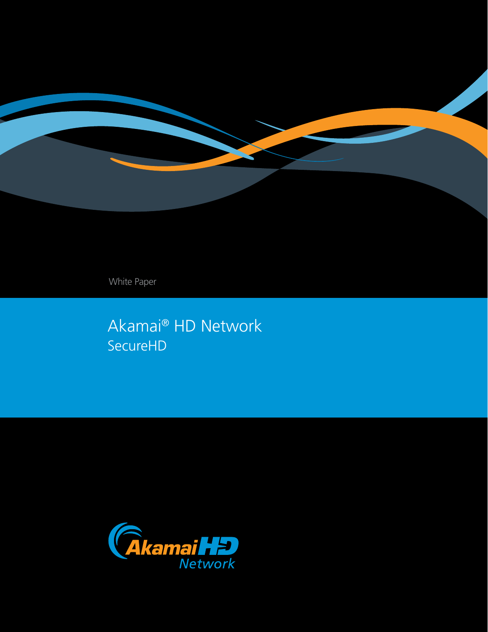

White Paper

Akamai® HD Network SecureHD

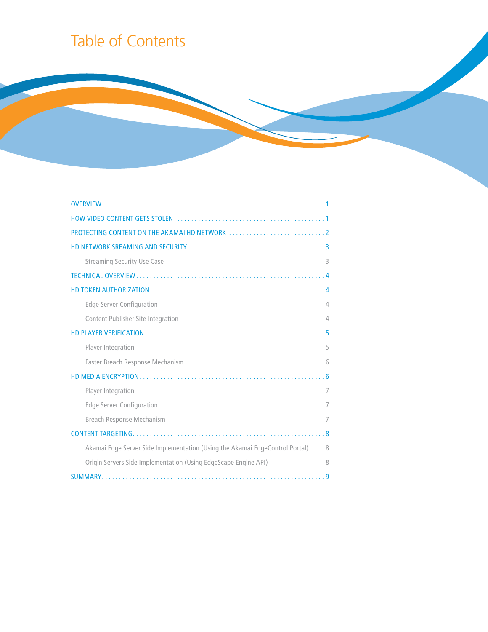# Table of Contents

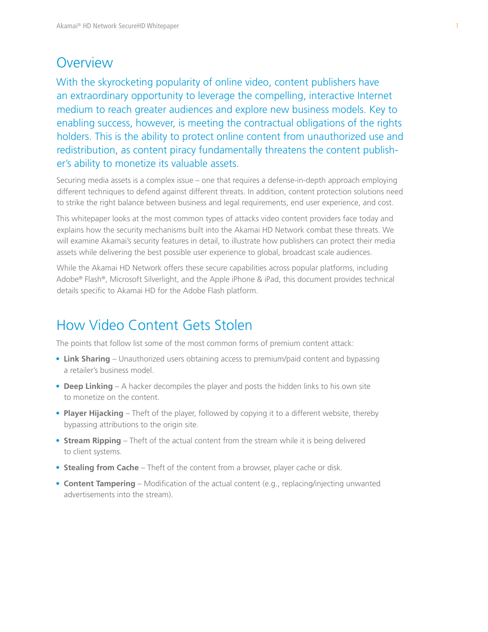### **Overview**

With the skyrocketing popularity of online video, content publishers have an extraordinary opportunity to leverage the compelling, interactive Internet medium to reach greater audiences and explore new business models. Key to enabling success, however, is meeting the contractual obligations of the rights holders. This is the ability to protect online content from unauthorized use and redistribution, as content piracy fundamentally threatens the content publisher's ability to monetize its valuable assets.

Securing media assets is a complex issue – one that requires a defense-in-depth approach employing different techniques to defend against different threats. In addition, content protection solutions need to strike the right balance between business and legal requirements, end user experience, and cost.

This whitepaper looks at the most common types of attacks video content providers face today and explains how the security mechanisms built into the Akamai HD Network combat these threats. We will examine Akamai's security features in detail, to illustrate how publishers can protect their media assets while delivering the best possible user experience to global, broadcast scale audiences.

While the Akamai HD Network offers these secure capabilities across popular platforms, including Adobe® Flash®, Microsoft Silverlight, and the Apple iPhone & iPad, this document provides technical details specific to Akamai HD for the Adobe Flash platform.

# How Video Content Gets Stolen

The points that follow list some of the most common forms of premium content attack:

- **Link Sharing** Unauthorized users obtaining access to premium/paid content and bypassing a retailer's business model.
- **Deep Linking** A hacker decompiles the player and posts the hidden links to his own site to monetize on the content.
- **Player Hijacking** Theft of the player, followed by copying it to a different website, thereby bypassing attributions to the origin site.
- **Stream Ripping** Theft of the actual content from the stream while it is being delivered to client systems.
- **Stealing from Cache** Theft of the content from a browser, player cache or disk.
- **Content Tampering** Modification of the actual content (e.g., replacing/injecting unwanted advertisements into the stream).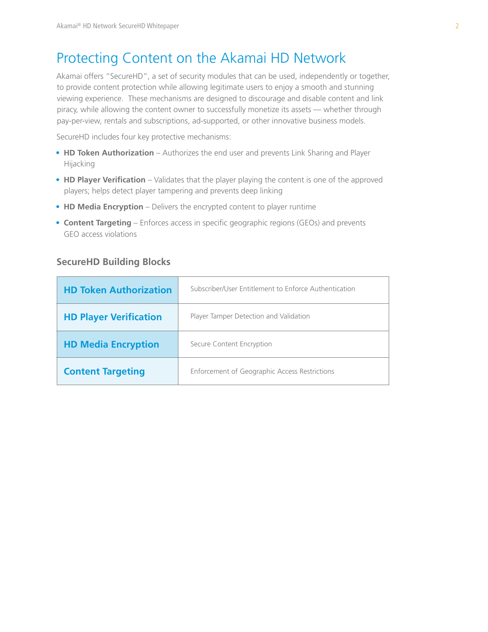# Protecting Content on the Akamai HD Network

Akamai offers "SecureHD", a set of security modules that can be used, independently or together, to provide content protection while allowing legitimate users to enjoy a smooth and stunning viewing experience. These mechanisms are designed to discourage and disable content and link piracy, while allowing the content owner to successfully monetize its assets — whether through pay-per-view, rentals and subscriptions, ad-supported, or other innovative business models.

SecureHD includes four key protective mechanisms:

- **HD Token Authorization** Authorizes the end user and prevents Link Sharing and Player Hijacking
- HD Player Verification Validates that the player playing the content is one of the approved players; helps detect player tampering and prevents deep linking
- HD Media Encryption Delivers the encrypted content to player runtime
- **Content Targeting** Enforces access in specific geographic regions (GEOs) and prevents GEO access violations

### **SecureHD Building Blocks**

| <b>HD Token Authorization</b> | Subscriber/User Entitlement to Enforce Authentication |
|-------------------------------|-------------------------------------------------------|
| <b>HD Player Verification</b> | Player Tamper Detection and Validation                |
| <b>HD Media Encryption</b>    | Secure Content Encryption                             |
| <b>Content Targeting</b>      | Enforcement of Geographic Access Restrictions         |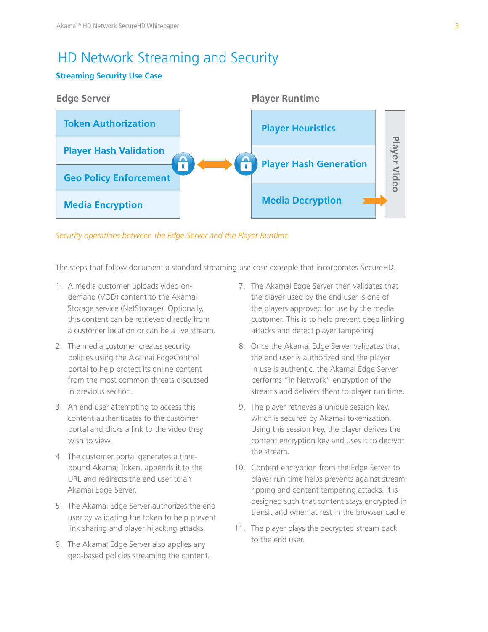# HD Network Streaming and Security

### **Streaming Security Use Case**



*Security operations between the Edge Server and the Player Runtime* 

The steps that follow document a standard streaming use case example that incorporates SecureHD.

- 1. A media customer uploads video ondemand (VOD) content to the Akamai Storage service (NetStorage). Optionally, this content can be retrieved directly from a customer location or can be a live stream.
- 2. The media customer creates security policies using the Akamai EdgeControl portal to help protect its online content from the most common threats discussed in previous section.
- 3. An end user attempting to access this content authenticates to the customer portal and clicks a link to the video they wish to view.
- 4. The customer portal generates a timebound Akamai Token, appends it to the URL and redirects the end user to an Akamai Edge Server.
- 5. The Akamai Edge Server authorizes the end user by validating the token to help prevent link sharing and player hijacking attacks.
- 6. The Akamai Edge Server also applies any geo-based policies streaming the content.
- 7. The Akamai Edge Server then validates that the player used by the end user is one of the players approved for use by the media customer. This is to help prevent deep linking attacks and detect player tampering
- 8. Once the Akamai Edge Server validates that the end user is authorized and the player in use is authentic, the Akamai Edge Server performs "In Network" encryption of the streams and delivers them to player run time.
- 9. The player retrieves a unique session key, which is secured by Akamai tokenization. Using this session key, the player derives the content encryption key and uses it to decrypt the stream.
- 10. Content encryption from the Edge Server to player run time helps prevents against stream ripping and content tempering attacks. It is designed such that content stays encrypted in transit and when at rest in the browser cache.
- 11. The player plays the decrypted stream back to the end user.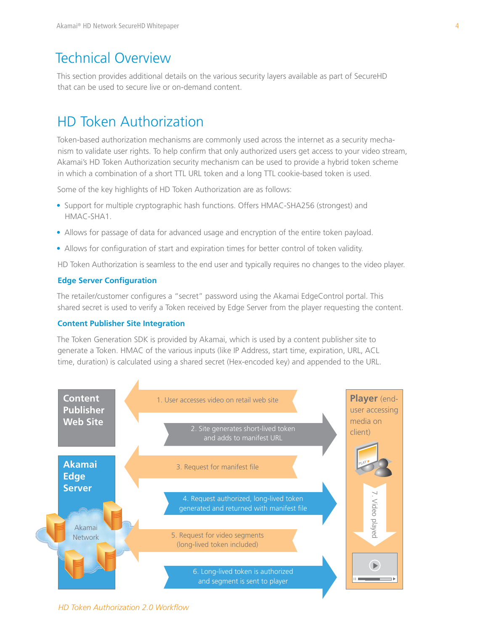### Technical Overview

This section provides additional details on the various security layers available as part of SecureHD that can be used to secure live or on-demand content.

### HD Token Authorization

Token-based authorization mechanisms are commonly used across the internet as a security mechanism to validate user rights. To help confirm that only authorized users get access to your video stream, Akamai's HD Token Authorization security mechanism can be used to provide a hybrid token scheme in which a combination of a short TTL URL token and a long TTL cookie-based token is used.

Some of the key highlights of HD Token Authorization are as follows:

- Support for multiple cryptographic hash functions. Offers HMAC-SHA256 (strongest) and HMAC-SHA1.
- Allows for passage of data for advanced usage and encryption of the entire token payload.
- Allows for configuration of start and expiration times for better control of token validity.

HD Token Authorization is seamless to the end user and typically requires no changes to the video player.

#### **Edge Server Configuration**

The retailer/customer configures a "secret" password using the Akamai EdgeControl portal. This shared secret is used to verify a Token received by Edge Server from the player requesting the content.

#### **Content Publisher Site Integration**

The Token Generation SDK is provided by Akamai, which is used by a content publisher site to generate a Token. HMAC of the various inputs (like IP Address, start time, expiration, URL, ACL time, duration) is calculated using a shared secret (Hex-encoded key) and appended to the URL.



*HD Token Authorization 2.0 Workflow*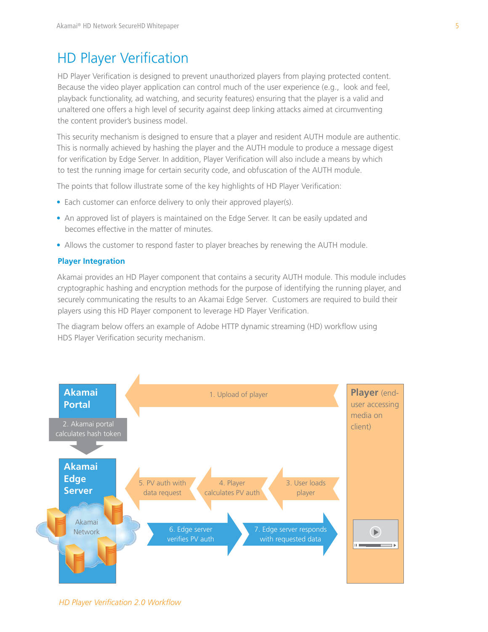# HD Player Verification

HD Player Verification is designed to prevent unauthorized players from playing protected content. Because the video player application can control much of the user experience (e.g., look and feel, playback functionality, ad watching, and security features) ensuring that the player is a valid and unaltered one offers a high level of security against deep linking attacks aimed at circumventing the content provider's business model.

This security mechanism is designed to ensure that a player and resident AUTH module are authentic. This is normally achieved by hashing the player and the AUTH module to produce a message digest for verification by Edge Server. In addition, Player Verification will also include a means by which to test the running image for certain security code, and obfuscation of the AUTH module.

The points that follow illustrate some of the key highlights of HD Player Verification:

- Each customer can enforce delivery to only their approved player(s).
- An approved list of players is maintained on the Edge Server. It can be easily updated and becomes effective in the matter of minutes.
- Allows the customer to respond faster to player breaches by renewing the AUTH module.

#### **Player Integration**

Akamai provides an HD Player component that contains a security AUTH module. This module includes cryptographic hashing and encryption methods for the purpose of identifying the running player, and securely communicating the results to an Akamai Edge Server. Customers are required to build their players using this HD Player component to leverage HD Player Verification.

The diagram below offers an example of Adobe HTTP dynamic streaming (HD) workflow using HDS Player Verification security mechanism.



*HD Player Verification 2.0 Workflow*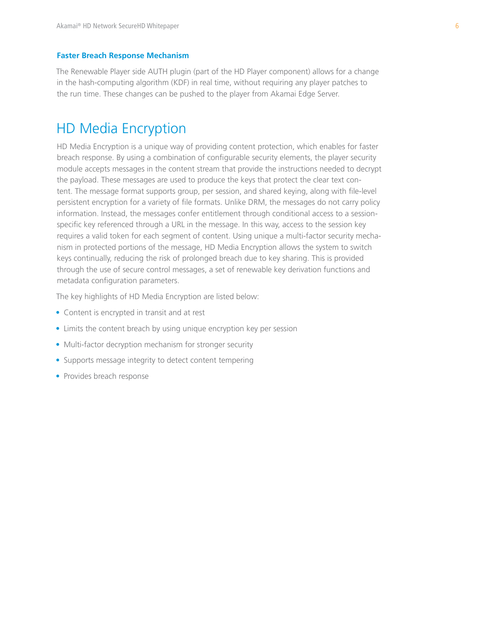#### **Faster Breach Response Mechanism**

The Renewable Player side AUTH plugin (part of the HD Player component) allows for a change in the hash-computing algorithm (KDF) in real time, without requiring any player patches to the run time. These changes can be pushed to the player from Akamai Edge Server.

### HD Media Encryption

HD Media Encryption is a unique way of providing content protection, which enables for faster breach response. By using a combination of configurable security elements, the player security module accepts messages in the content stream that provide the instructions needed to decrypt the payload. These messages are used to produce the keys that protect the clear text content. The message format supports group, per session, and shared keying, along with file-level persistent encryption for a variety of file formats. Unlike DRM, the messages do not carry policy information. Instead, the messages confer entitlement through conditional access to a sessionspecific key referenced through a URL in the message. In this way, access to the session key requires a valid token for each segment of content. Using unique a multi-factor security mechanism in protected portions of the message, HD Media Encryption allows the system to switch keys continually, reducing the risk of prolonged breach due to key sharing. This is provided through the use of secure control messages, a set of renewable key derivation functions and metadata configuration parameters.

The key highlights of HD Media Encryption are listed below:

- Content is encrypted in transit and at rest
- Limits the content breach by using unique encryption key per session
- Multi-factor decryption mechanism for stronger security
- Supports message integrity to detect content tempering
- Provides breach response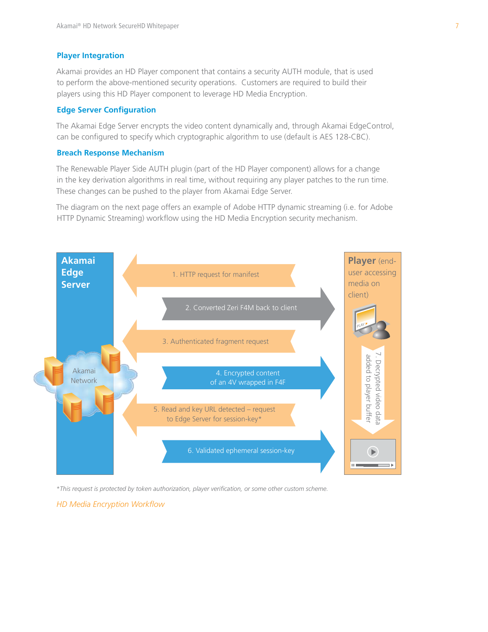#### **Player Integration**

Akamai provides an HD Player component that contains a security AUTH module, that is used to perform the above-mentioned security operations. Customers are required to build their players using this HD Player component to leverage HD Media Encryption.

### **Edge Server Configuration**

The Akamai Edge Server encrypts the video content dynamically and, through Akamai EdgeControl, can be configured to specify which cryptographic algorithm to use (default is AES 128-CBC).

#### **Breach Response Mechanism**

The Renewable Player Side AUTH plugin (part of the HD Player component) allows for a change in the key derivation algorithms in real time, without requiring any player patches to the run time. These changes can be pushed to the player from Akamai Edge Server.

The diagram on the next page offers an example of Adobe HTTP dynamic streaming (i.e. for Adobe HTTP Dynamic Streaming) workflow using the HD Media Encryption security mechanism.



*\*This request is protected by token authorization, player verification, or some other custom scheme.*

*HD Media Encryption Workflow*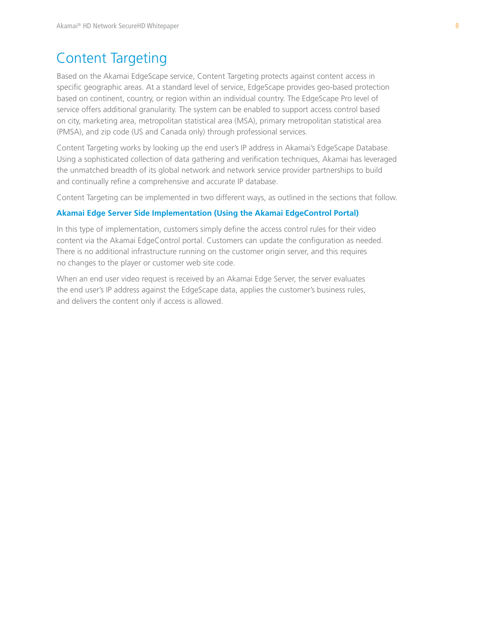### Content Targeting

Based on the Akamai EdgeScape service, Content Targeting protects against content access in specific geographic areas. At a standard level of service, EdgeScape provides geo-based protection based on continent, country, or region within an individual country. The EdgeScape Pro level of service offers additional granularity. The system can be enabled to support access control based on city, marketing area, metropolitan statistical area (MSA), primary metropolitan statistical area (PMSA), and zip code (US and Canada only) through professional services.

Content Targeting works by looking up the end user's IP address in Akamai's EdgeScape Database. Using a sophisticated collection of data gathering and verification techniques, Akamai has leveraged the unmatched breadth of its global network and network service provider partnerships to build and continually refine a comprehensive and accurate IP database.

Content Targeting can be implemented in two different ways, as outlined in the sections that follow.

#### **Akamai Edge Server Side Implementation (Using the Akamai EdgeControl Portal)**

In this type of implementation, customers simply define the access control rules for their video content via the Akamai EdgeControl portal. Customers can update the configuration as needed. There is no additional infrastructure running on the customer origin server, and this requires no changes to the player or customer web site code.

When an end user video request is received by an Akamai Edge Server, the server evaluates the end user's IP address against the EdgeScape data, applies the customer's business rules, and delivers the content only if access is allowed.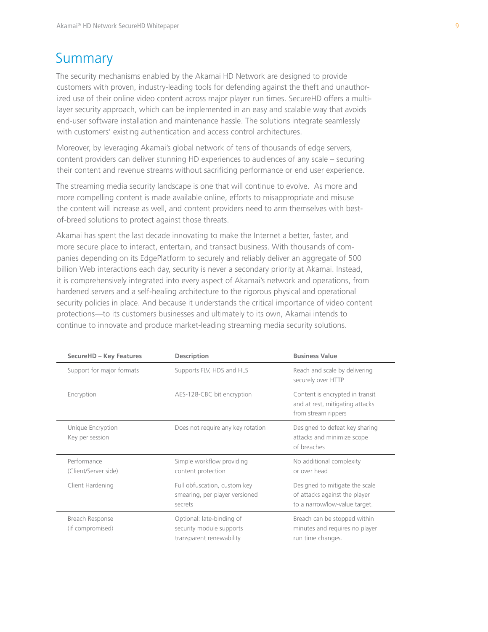### Summary

The security mechanisms enabled by the Akamai HD Network are designed to provide customers with proven, industry-leading tools for defending against the theft and unauthorized use of their online video content across major player run times. SecureHD offers a multilayer security approach, which can be implemented in an easy and scalable way that avoids end-user software installation and maintenance hassle. The solutions integrate seamlessly with customers' existing authentication and access control architectures.

Moreover, by leveraging Akamai's global network of tens of thousands of edge servers, content providers can deliver stunning HD experiences to audiences of any scale – securing their content and revenue streams without sacrificing performance or end user experience.

The streaming media security landscape is one that will continue to evolve. As more and more compelling content is made available online, efforts to misappropriate and misuse the content will increase as well, and content providers need to arm themselves with bestof-breed solutions to protect against those threats.

Akamai has spent the last decade innovating to make the Internet a better, faster, and more secure place to interact, entertain, and transact business. With thousands of companies depending on its EdgePlatform to securely and reliably deliver an aggregate of 500 billion Web interactions each day, security is never a secondary priority at Akamai. Instead, it is comprehensively integrated into every aspect of Akamai's network and operations, from hardened servers and a self-healing architecture to the rigorous physical and operational security policies in place. And because it understands the critical importance of video content protections—to its customers businesses and ultimately to its own, Akamai intends to continue to innovate and produce market-leading streaming media security solutions.

| <b>SecureHD - Key Features</b>       | <b>Description</b>                                                                | <b>Business Value</b>                                                                            |
|--------------------------------------|-----------------------------------------------------------------------------------|--------------------------------------------------------------------------------------------------|
| Support for major formats            | Supports FLV, HDS and HLS                                                         | Reach and scale by delivering<br>securely over HTTP                                              |
| Encryption                           | AES-128-CBC bit encryption                                                        | Content is encrypted in transit<br>and at rest, mitigating attacks<br>from stream rippers        |
| Unique Encryption<br>Key per session | Does not require any key rotation                                                 | Designed to defeat key sharing<br>attacks and minimize scope<br>of breaches                      |
| Performance<br>(Client/Server side)  | Simple workflow providing<br>content protection                                   | No additional complexity<br>or over head                                                         |
| Client Hardening                     | Full obfuscation, custom key<br>smearing, per player versioned<br>secrets         | Designed to mitigate the scale<br>of attacks against the player<br>to a narrow/low-value target. |
| Breach Response<br>(if compromised)  | Optional: late-binding of<br>security module supports<br>transparent renewability | Breach can be stopped within<br>minutes and requires no player<br>run time changes.              |